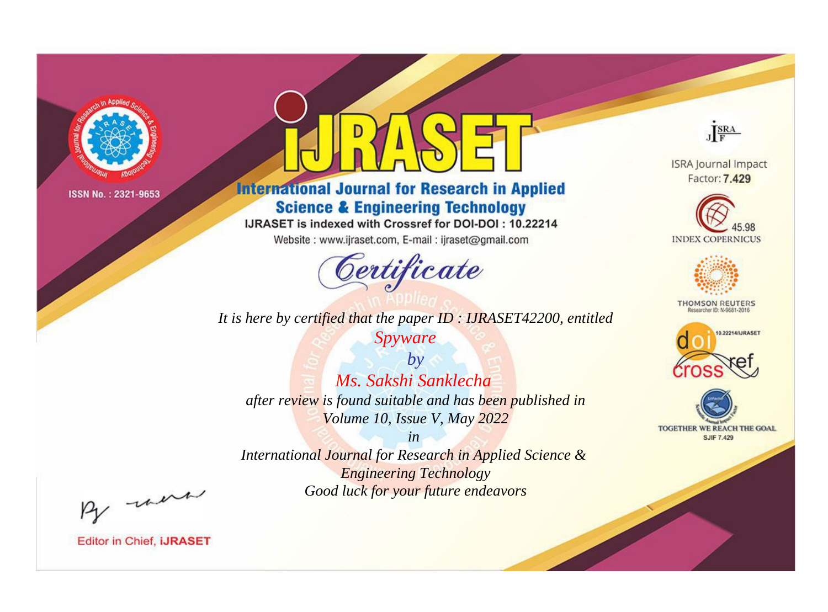

# **International Journal for Research in Applied Science & Engineering Technology**

IJRASET is indexed with Crossref for DOI-DOI: 10.22214

Website: www.ijraset.com, E-mail: ijraset@gmail.com



JERA

**ISRA Journal Impact** Factor: 7.429





**THOMSON REUTERS** 



TOGETHER WE REACH THE GOAL **SJIF 7.429** 

*It is here by certified that the paper ID : IJRASET42200, entitled Spyware*

*by Ms. Sakshi Sanklecha after review is found suitable and has been published in Volume 10, Issue V, May 2022*

*in* 

*International Journal for Research in Applied Science & Engineering Technology Good luck for your future endeavors*

By morn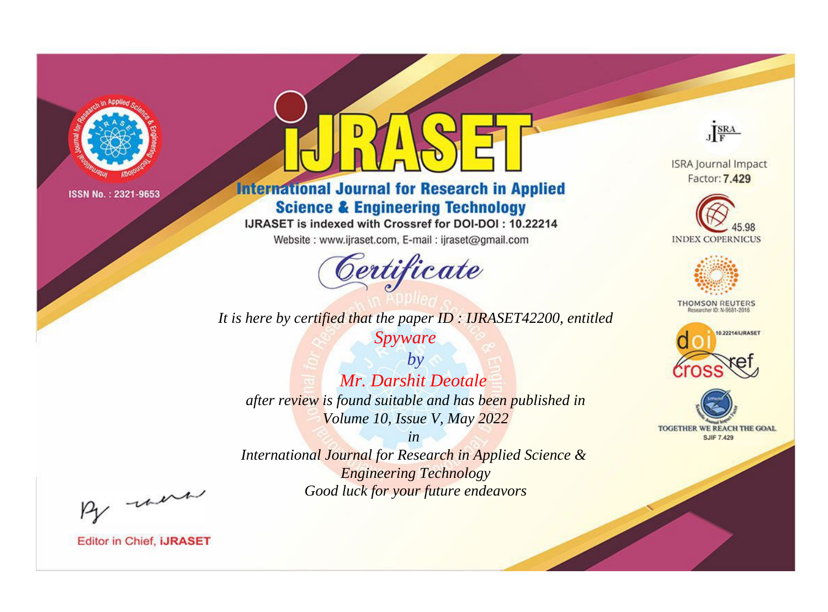

# **International Journal for Research in Applied Science & Engineering Technology**

IJRASET is indexed with Crossref for DOI-DOI: 10.22214

Website: www.ijraset.com, E-mail: ijraset@gmail.com



JERA

**ISRA Journal Impact** Factor: 7.429





**THOMSON REUTERS** 



TOGETHER WE REACH THE GOAL **SJIF 7.429** 

*It is here by certified that the paper ID : IJRASET42200, entitled Spyware*

*by Mr. Darshit Deotale after review is found suitable and has been published in Volume 10, Issue V, May 2022*

*in* 

*International Journal for Research in Applied Science & Engineering Technology Good luck for your future endeavors*

By morn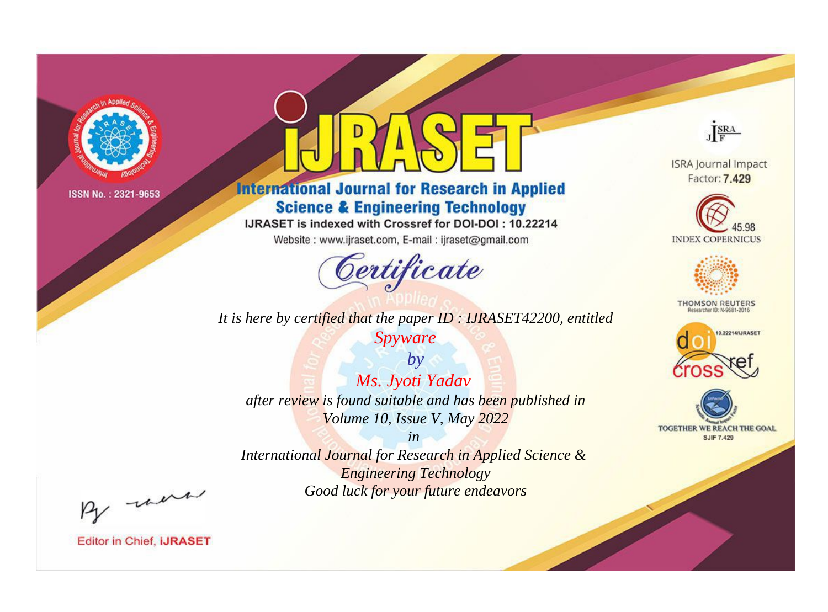

# **International Journal for Research in Applied Science & Engineering Technology**

IJRASET is indexed with Crossref for DOI-DOI: 10.22214

Website: www.ijraset.com, E-mail: ijraset@gmail.com



JERA

**ISRA Journal Impact** Factor: 7.429





**THOMSON REUTERS** 



TOGETHER WE REACH THE GOAL **SJIF 7.429** 

*It is here by certified that the paper ID : IJRASET42200, entitled Spyware*

*by Ms. Jyoti Yadav after review is found suitable and has been published in Volume 10, Issue V, May 2022*

*in* 

*International Journal for Research in Applied Science & Engineering Technology Good luck for your future endeavors*

By morn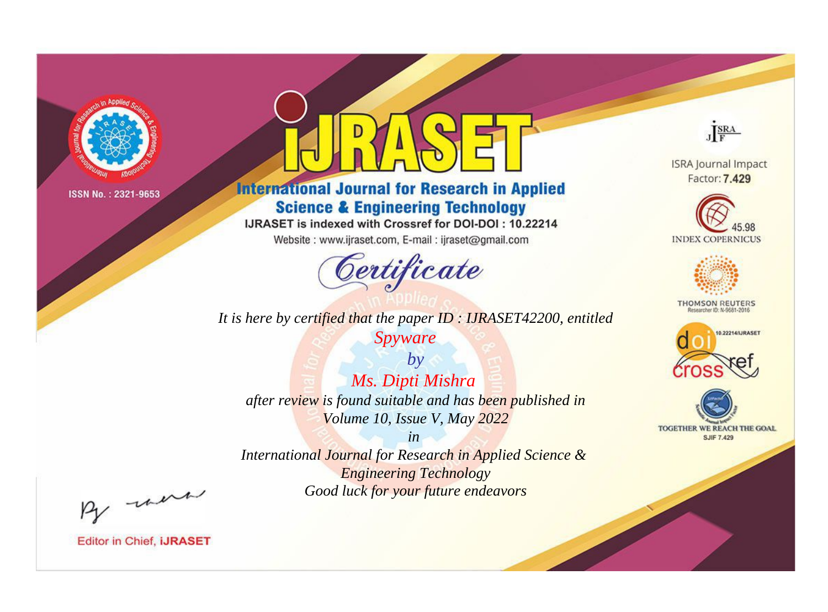

# **International Journal for Research in Applied Science & Engineering Technology**

IJRASET is indexed with Crossref for DOI-DOI: 10.22214

Website: www.ijraset.com, E-mail: ijraset@gmail.com



JERA

**ISRA Journal Impact** Factor: 7.429





**THOMSON REUTERS** 



TOGETHER WE REACH THE GOAL **SJIF 7.429** 

*It is here by certified that the paper ID : IJRASET42200, entitled*

*Spyware*

*by Ms. Dipti Mishra after review is found suitable and has been published in Volume 10, Issue V, May 2022*

*in* 

*International Journal for Research in Applied Science & Engineering Technology Good luck for your future endeavors*

By morn